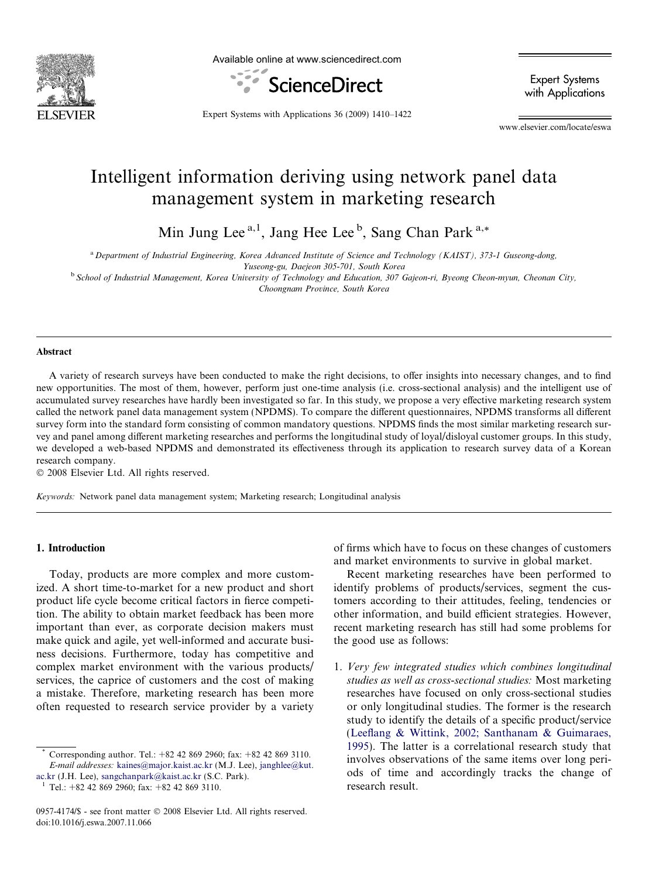

Available online at www.sciencedirect.com



Expert Systems with Applications

Expert Systems with Applications 36 (2009) 1410–1422

www.elsevier.com/locate/eswa

## Intelligent information deriving using network panel data management system in marketing research

Min Jung Lee<sup>a,1</sup>, Jang Hee Lee<sup>b</sup>, Sang Chan Park<sup>a,\*</sup>

a Department of Industrial Engineering, Korea Advanced Institute of Science and Technology (KAIST), 373-1 Guseong-dong,

Yuseong-gu, Daejeon 305-701, South Korea

<sup>b</sup> School of Industrial Management, Korea University of Technology and Education, 307 Gajeon-ri, Byeong Cheon-myun, Cheonan City, Choongnam Province, South Korea

#### Abstract

A variety of research surveys have been conducted to make the right decisions, to offer insights into necessary changes, and to find new opportunities. The most of them, however, perform just one-time analysis (i.e. cross-sectional analysis) and the intelligent use of accumulated survey researches have hardly been investigated so far. In this study, we propose a very effective marketing research system called the network panel data management system (NPDMS). To compare the different questionnaires, NPDMS transforms all different survey form into the standard form consisting of common mandatory questions. NPDMS finds the most similar marketing research survey and panel among different marketing researches and performs the longitudinal study of loyal/disloyal customer groups. In this study, we developed a web-based NPDMS and demonstrated its effectiveness through its application to research survey data of a Korean research company.

 $© 2008 Elsevier Ltd. All rights reserved.$ 

Keywords: Network panel data management system; Marketing research; Longitudinal analysis

#### 1. Introduction

Today, products are more complex and more customized. A short time-to-market for a new product and short product life cycle become critical factors in fierce competition. The ability to obtain market feedback has been more important than ever, as corporate decision makers must make quick and agile, yet well-informed and accurate business decisions. Furthermore, today has competitive and complex market environment with the various products/ services, the caprice of customers and the cost of making a mistake. Therefore, marketing research has been more often requested to research service provider by a variety of firms which have to focus on these changes of customers and market environments to survive in global market.

Recent marketing researches have been performed to identify problems of products/services, segment the customers according to their attitudes, feeling, tendencies or other information, and build efficient strategies. However, recent marketing research has still had some problems for the good use as follows:

1. Very few integrated studies which combines longitudinal studies as well as cross-sectional studies: Most marketing researches have focused on only cross-sectional studies or only longitudinal studies. The former is the research study to identify the details of a specific product/service ([Leeflang & Wittink, 2002; Santhanam & Guimaraes,](#page--1-0) [1995\)](#page--1-0). The latter is a correlational research study that involves observations of the same items over long periods of time and accordingly tracks the change of research result.

Corresponding author. Tel.: +82 42 869 2960; fax: +82 42 869 3110. E-mail addresses: [kaines@major.kaist.ac.kr](mailto:kaines@major.kaist.ac.kr) (M.J. Lee), [janghlee@kut.](mailto:janghlee@kut. ac.kr)

[ac.kr](mailto:janghlee@kut. ac.kr) (J.H. Lee), [sangchanpark@kaist.ac.kr](mailto:sangchanpark@kaist.ac.kr) (S.C. Park). <sup>1</sup> Tel.: +82 42 869 2960; fax: +82 42 869 3110.

<sup>0957-4174/\$ -</sup> see front matter © 2008 Elsevier Ltd. All rights reserved. doi:10.1016/j.eswa.2007.11.066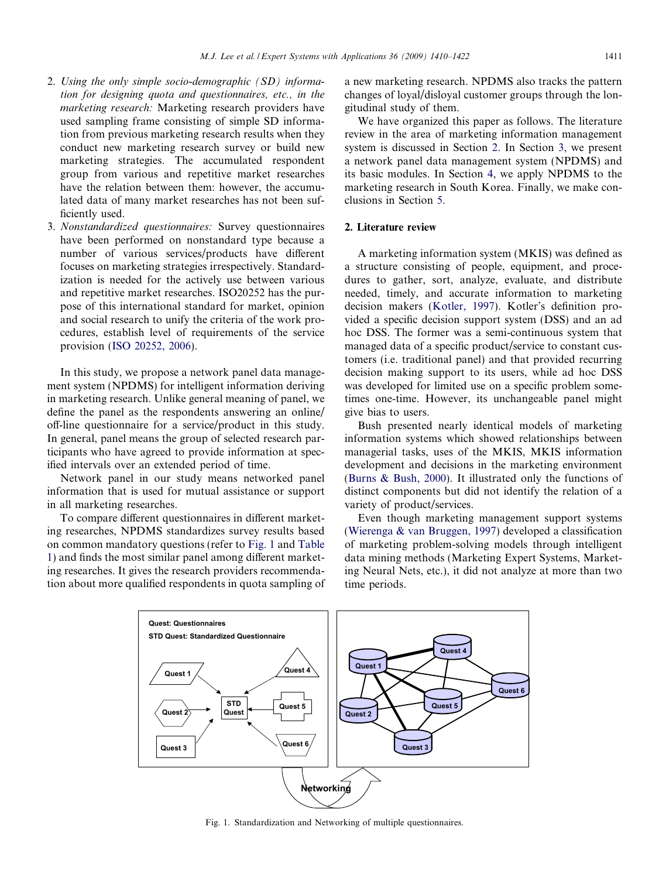- 2. Using the only simple socio-demographic (SD) information for designing quota and questionnaires, etc., in the marketing research: Marketing research providers have used sampling frame consisting of simple SD information from previous marketing research results when they conduct new marketing research survey or build new marketing strategies. The accumulated respondent group from various and repetitive market researches have the relation between them: however, the accumulated data of many market researches has not been sufficiently used.
- 3. Nonstandardized questionnaires: Survey questionnaires have been performed on nonstandard type because a number of various services/products have different focuses on marketing strategies irrespectively. Standardization is needed for the actively use between various and repetitive market researches. ISO20252 has the purpose of this international standard for market, opinion and social research to unify the criteria of the work procedures, establish level of requirements of the service provision [\(ISO 20252, 2006\)](#page--1-0).

In this study, we propose a network panel data management system (NPDMS) for intelligent information deriving in marketing research. Unlike general meaning of panel, we define the panel as the respondents answering an online/ off-line questionnaire for a service/product in this study. In general, panel means the group of selected research participants who have agreed to provide information at specified intervals over an extended period of time.

Network panel in our study means networked panel information that is used for mutual assistance or support in all marketing researches.

To compare different questionnaires in different marketing researches, NPDMS standardizes survey results based on common mandatory questions (refer to Fig. 1 and [Table](#page--1-0) [1\)](#page--1-0) and finds the most similar panel among different marketing researches. It gives the research providers recommendation about more qualified respondents in quota sampling of a new marketing research. NPDMS also tracks the pattern changes of loyal/disloyal customer groups through the longitudinal study of them.

We have organized this paper as follows. The literature review in the area of marketing information management system is discussed in Section 2. In Section [3,](#page--1-0) we present a network panel data management system (NPDMS) and its basic modules. In Section [4,](#page--1-0) we apply NPDMS to the marketing research in South Korea. Finally, we make conclusions in Section [5](#page--1-0).

### 2. Literature review

A marketing information system (MKIS) was defined as a structure consisting of people, equipment, and procedures to gather, sort, analyze, evaluate, and distribute needed, timely, and accurate information to marketing decision makers ([Kotler, 1997\)](#page--1-0). Kotler's definition provided a specific decision support system (DSS) and an ad hoc DSS. The former was a semi-continuous system that managed data of a specific product/service to constant customers (i.e. traditional panel) and that provided recurring decision making support to its users, while ad hoc DSS was developed for limited use on a specific problem sometimes one-time. However, its unchangeable panel might give bias to users.

Bush presented nearly identical models of marketing information systems which showed relationships between managerial tasks, uses of the MKIS, MKIS information development and decisions in the marketing environment ([Burns & Bush, 2000](#page--1-0)). It illustrated only the functions of distinct components but did not identify the relation of a variety of product/services.

Even though marketing management support systems ([Wierenga & van Bruggen, 1997\)](#page--1-0) developed a classification of marketing problem-solving models through intelligent data mining methods (Marketing Expert Systems, Marketing Neural Nets, etc.), it did not analyze at more than two time periods.



Fig. 1. Standardization and Networking of multiple questionnaires.